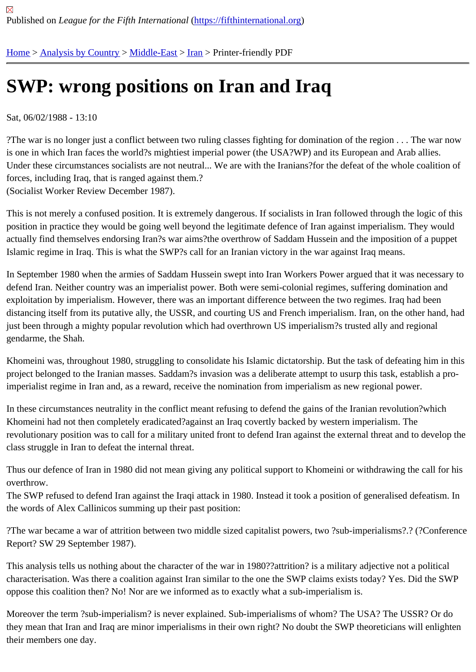## [SW](https://fifthinternational.org/)[P: wrong p](https://fifthinternational.org/category/1)[osition](https://fifthinternational.org/category/1/178)[s o](https://fifthinternational.org/category/1/178/182)n Iran and Iraq

Sat, 06/02/1988 - 13:10

?The war is no longer just a conflict between two ruling classes fighting for domination of the region . . . The war n is one in which Iran faces the world?s mightiest imperial power (the USA?WP) and its European and Arab allies. Under these circumstances socialists are not neutral... We are with the Iranians?for the defeat of the whole coalitio forces, including Iraq, that is ranged against them.? (Socialist Worker Review December 1987).

This is not merely a confused position. It is extremely dangerous. If socialists in Iran followed through the logic of t position in practice they would be going well beyond the legitimate defence of Iran against imperialism. They would actually find themselves endorsing Iran?s war aims?the overthrow of Saddam Hussein and the imposition of a pup Islamic regime in Iraq. This is what the SWP?s call for an Iranian victory in the war against Iraq means.

In September 1980 when the armies of Saddam Hussein swept into Iran Workers Power argued that it was necess defend Iran. Neither country was an imperialist power. Both were semi-colonial regimes, suffering domination and exploitation by imperialism. However, there was an important difference between the two regimes. Iraq had been distancing itself from its putative ally, the USSR, and courting US and French imperialism. Iran, on the other hand, just been through a mighty popular revolution which had overthrown US imperialism?s trusted ally and regional gendarme, the Shah.

Khomeini was, throughout 1980, struggling to consolidate his Islamic dictatorship. But the task of defeating him in project belonged to the Iranian masses. Saddam?s invasion was a deliberate attempt to usurp this task, establish imperialist regime in Iran and, as a reward, receive the nomination from imperialism as new regional power.

In these circumstances neutrality in the conflict meant refusing to defend the gains of the Iranian revolution?which Khomeini had not then completely eradicated?against an Iraq covertly backed by western imperialism. The revolutionary position was to call for a military united front to defend Iran against the external threat and to develop class struggle in Iran to defeat the internal threat.

Thus our defence of Iran in 1980 did not mean giving any political support to Khomeini or withdrawing the call for h overthrow.

The SWP refused to defend Iran against the Iraqi attack in 1980. Instead it took a position of generalised defeatisr the words of Alex Callinicos summing up their past position:

?The war became a war of attrition between two middle sized capitalist powers, two ?sub-imperialisms?.? (?Confe Report? SW 29 September 1987).

This analysis tells us nothing about the character of the war in 1980??attrition? is a military adjective not a political characterisation. Was there a coalition against Iran similar to the one the SWP claims exists today? Yes. Did the S oppose this coalition then? No! Nor are we informed as to exactly what a sub-imperialism is.

Moreover the term ?sub-imperialism? is never explained. Sub-imperialisms of whom? The USA? The USSR? Or c they mean that Iran and Iraq are minor imperialisms in their own right? No doubt the SWP theoreticians will enlight their members one day.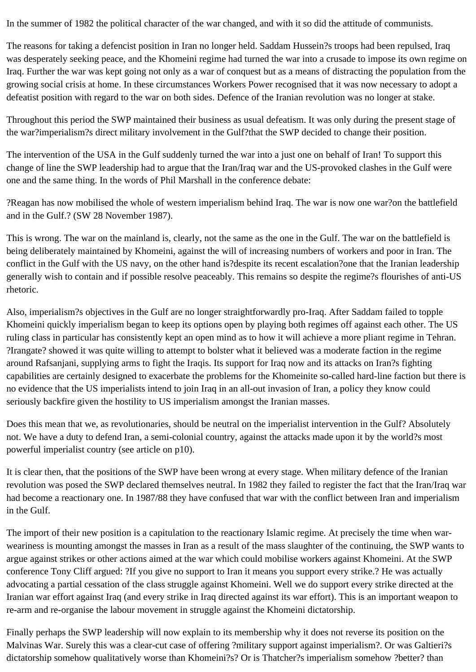In the summer of 1982 the political character of the war changed, and with it so did the attitude of communists.

The reasons for taking a defencist position in Iran no longer held. Saddam Hussein?s troops had been repulsed, Iraq was desperately seeking peace, and the Khomeini regime had turned the war into a crusade to impose its own regime on Iraq. Further the war was kept going not only as a war of conquest but as a means of distracting the population from the growing social crisis at home. In these circumstances Workers Power recognised that it was now necessary to adopt a defeatist position with regard to the war on both sides. Defence of the Iranian revolution was no longer at stake.

Throughout this period the SWP maintained their business as usual defeatism. It was only during the present stage of the war?imperialism?s direct military involvement in the Gulf?that the SWP decided to change their position.

The intervention of the USA in the Gulf suddenly turned the war into a just one on behalf of Iran! To support this change of line the SWP leadership had to argue that the Iran/Iraq war and the US-provoked clashes in the Gulf were one and the same thing. In the words of Phil Marshall in the conference debate:

?Reagan has now mobilised the whole of western imperialism behind Iraq. The war is now one war?on the battlefield and in the Gulf.? (SW 28 November 1987).

This is wrong. The war on the mainland is, clearly, not the same as the one in the Gulf. The war on the battlefield is being deliberately maintained by Khomeini, against the will of increasing numbers of workers and poor in Iran. The conflict in the Gulf with the US navy, on the other hand is?despite its recent escalation?one that the Iranian leadership generally wish to contain and if possible resolve peaceably. This remains so despite the regime?s flourishes of anti-US rhetoric.

Also, imperialism?s objectives in the Gulf are no longer straightforwardly pro-Iraq. After Saddam failed to topple Khomeini quickly imperialism began to keep its options open by playing both regimes off against each other. The US ruling class in particular has consistently kept an open mind as to how it will achieve a more pliant regime in Tehran. ?Irangate? showed it was quite willing to attempt to bolster what it believed was a moderate faction in the regime around Rafsanjani, supplying arms to fight the Iraqis. Its support for Iraq now and its attacks on Iran?s fighting capabilities are certainly designed to exacerbate the problems for the Khomeinite so-called hard-line faction but there is no evidence that the US imperialists intend to join Iraq in an all-out invasion of Iran, a policy they know could seriously backfire given the hostility to US imperialism amongst the Iranian masses.

Does this mean that we, as revolutionaries, should be neutral on the imperialist intervention in the Gulf? Absolutely not. We have a duty to defend Iran, a semi-colonial country, against the attacks made upon it by the world?s most powerful imperialist country (see article on p10).

It is clear then, that the positions of the SWP have been wrong at every stage. When military defence of the Iranian revolution was posed the SWP declared themselves neutral. In 1982 they failed to register the fact that the Iran/Iraq war had become a reactionary one. In 1987/88 they have confused that war with the conflict between Iran and imperialism in the Gulf.

The import of their new position is a capitulation to the reactionary Islamic regime. At precisely the time when warweariness is mounting amongst the masses in Iran as a result of the mass slaughter of the continuing, the SWP wants to argue against strikes or other actions aimed at the war which could mobilise workers against Khomeini. At the SWP conference Tony Cliff argued: ?If you give no support to Iran it means you support every strike.? He was actually advocating a partial cessation of the class struggle against Khomeini. Well we do support every strike directed at the Iranian war effort against Iraq (and every strike in Iraq directed against its war effort). This is an important weapon to re-arm and re-organise the labour movement in struggle against the Khomeini dictatorship.

Finally perhaps the SWP leadership will now explain to its membership why it does not reverse its position on the Malvinas War. Surely this was a clear-cut case of offering ?military support against imperialism?. Or was Galtieri?s dictatorship somehow qualitatively worse than Khomeini?s? Or is Thatcher?s imperialism somehow ?better? than